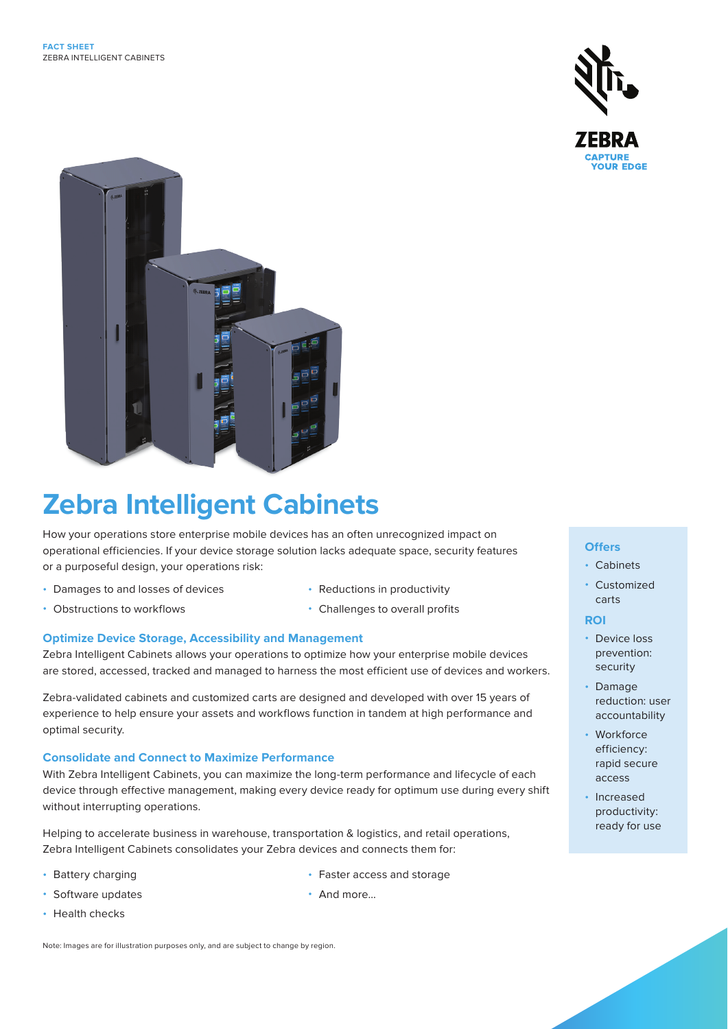



# **Zebra Intelligent Cabinets**

How your operations store enterprise mobile devices has an often unrecognized impact on operational efficiencies. If your device storage solution lacks adequate space, security features or a purposeful design, your operations risk:

- Damages to and losses of devices
- Obstructions to workflows
- Reductions in productivity
- Challenges to overall profits

#### **Optimize Device Storage, Accessibility and Management**

Zebra Intelligent Cabinets allows your operations to optimize how your enterprise mobile devices are stored, accessed, tracked and managed to harness the most efficient use of devices and workers.

Zebra-validated cabinets and customized carts are designed and developed with over 15 years of experience to help ensure your assets and workflows function in tandem at high performance and optimal security.

#### **Consolidate and Connect to Maximize Performance**

With Zebra Intelligent Cabinets, you can maximize the long-term performance and lifecycle of each device through effective management, making every device ready for optimum use during every shift without interrupting operations.

Helping to accelerate business in warehouse, transportation & logistics, and retail operations, Zebra Intelligent Cabinets consolidates your Zebra devices and connects them for:

- Battery charging
- Software updates
- Faster access and storage
- And more...

• Health checks

Note: Images are for illustration purposes only, and are subject to change by region.

#### **Offers**

- Cabinets
- Customized carts

#### **ROI**

- Device loss prevention: security
- Damage reduction: user accountability
- Workforce efficiency: rapid secure access
- Increased productivity: ready for use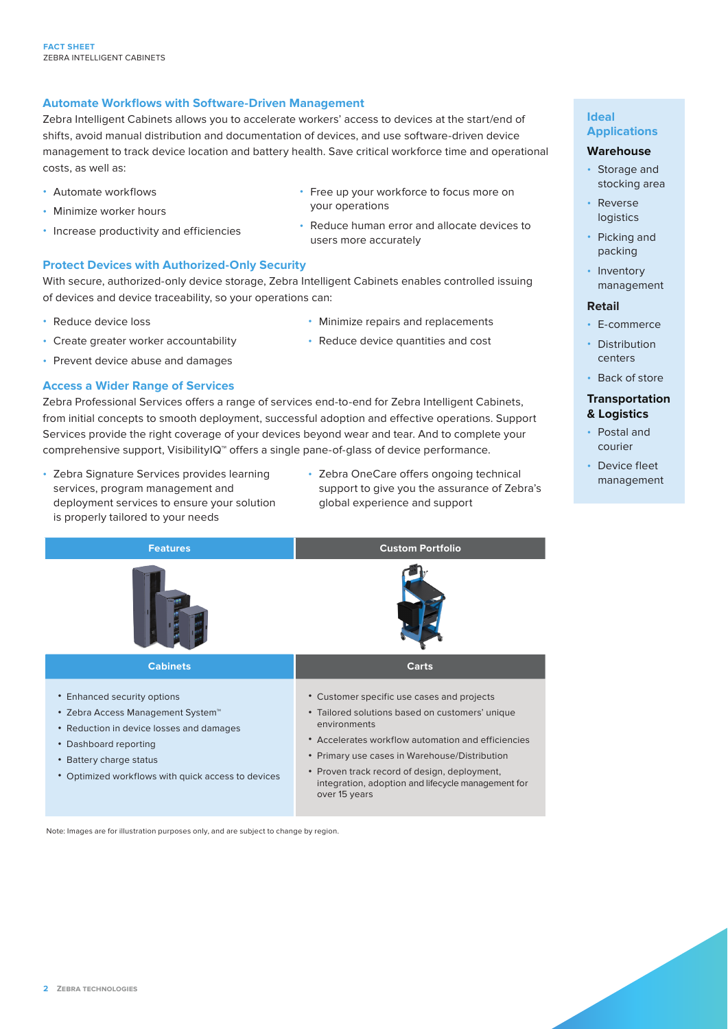### **Automate Workflows with Software-Driven Management**

Zebra Intelligent Cabinets allows you to accelerate workers' access to devices at the start/end of shifts, avoid manual distribution and documentation of devices, and use software-driven device management to track device location and battery health. Save critical workforce time and operational costs, as well as:

- Automate workflows
- Minimize worker hours
- Increase productivity and efficiencies
- Free up your workforce to focus more on your operations
- Reduce human error and allocate devices to users more accurately

#### **Protect Devices with Authorized-Only Security**

With secure, authorized-only device storage, Zebra Intelligent Cabinets enables controlled issuing of devices and device traceability, so your operations can:

• Reduce device loss

- Minimize repairs and replacements
- Reduce device quantities and cost
- Prevent device abuse and damages

#### **Access a Wider Range of Services**

• Create greater worker accountability

Zebra Professional Services offers a range of services end-to-end for Zebra Intelligent Cabinets, from initial concepts to smooth deployment, successful adoption and effective operations. Support Services provide the right coverage of your devices beyond wear and tear. And to complete your comprehensive support, VisibilityIQ™ offers a single pane-of-glass of device performance.

- Zebra Signature Services provides learning services, program management and deployment services to ensure your solution is properly tailored to your needs
- Zebra OneCare offers ongoing technical support to give you the assurance of Zebra's global experience and support



Note: Images are for illustration purposes only, and are subject to change by region.

#### **Ideal Applications**

#### **Warehouse**

- Storage and stocking area
- Reverse logistics
- Picking and packing
- Inventory management

#### **Retail**

- E-commerce
- Distribution centers
- Back of store

#### **Transportation & Logistics**

- Postal and courier
- Device fleet management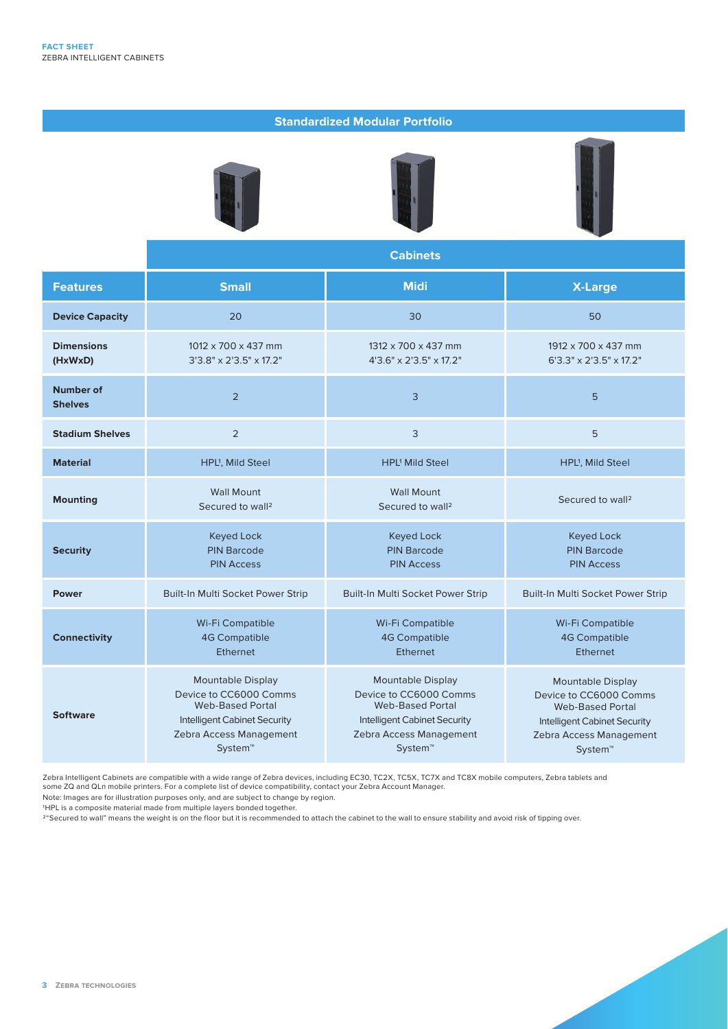#### **Standardized Modular Portfolio**







|                              | <b>Cabinets</b>                                                                                                                                     |                                                                                                                                                            |                                                                                                                                                     |
|------------------------------|-----------------------------------------------------------------------------------------------------------------------------------------------------|------------------------------------------------------------------------------------------------------------------------------------------------------------|-----------------------------------------------------------------------------------------------------------------------------------------------------|
| <b>Features</b>              | <b>Small</b>                                                                                                                                        | <b>Midi</b>                                                                                                                                                | <b>X-Large</b>                                                                                                                                      |
| <b>Device Capacity</b>       | 20                                                                                                                                                  | 30                                                                                                                                                         | 50                                                                                                                                                  |
| <b>Dimensions</b><br>(HxWxD) | 1012 x 700 x 437 mm<br>$3'3.8'' \times 2'3.5'' \times 17.2''$                                                                                       | 1312 x 700 x 437 mm<br>4'3.6" x 2'3.5" x 17.2"                                                                                                             | 1912 x 700 x 437 mm<br>$6'3.3'' \times 2'3.5'' \times 17.2''$                                                                                       |
| Number of<br><b>Shelves</b>  | $\overline{2}$                                                                                                                                      | 3                                                                                                                                                          | 5                                                                                                                                                   |
| <b>Stadium Shelves</b>       | 2                                                                                                                                                   | 3                                                                                                                                                          | 5                                                                                                                                                   |
| <b>Material</b>              | HPL <sup>1</sup> , Mild Steel                                                                                                                       | <b>HPL<sup>1</sup></b> Mild Steel                                                                                                                          | HPL <sup>1</sup> , Mild Steel                                                                                                                       |
| <b>Mounting</b>              | <b>Wall Mount</b><br>Secured to wall <sup>2</sup>                                                                                                   | <b>Wall Mount</b><br>Secured to wall <sup>2</sup>                                                                                                          | Secured to wall <sup>2</sup>                                                                                                                        |
| <b>Security</b>              | <b>Keyed Lock</b><br><b>PIN Barcode</b><br><b>PIN Access</b>                                                                                        | <b>Keyed Lock</b><br><b>PIN Barcode</b><br><b>PIN Access</b>                                                                                               | <b>Keyed Lock</b><br><b>PIN Barcode</b><br><b>PIN Access</b>                                                                                        |
| <b>Power</b>                 | Built-In Multi Socket Power Strip                                                                                                                   | Built-In Multi Socket Power Strip                                                                                                                          | Built-In Multi Socket Power Strip                                                                                                                   |
| <b>Connectivity</b>          | Wi-Fi Compatible<br><b>4G Compatible</b><br><b>Ethernet</b>                                                                                         | Wi-Fi Compatible<br><b>4G Compatible</b><br><b>Ethernet</b>                                                                                                | Wi-Fi Compatible<br><b>4G Compatible</b><br><b>Ethernet</b>                                                                                         |
| <b>Software</b>              | Mountable Display<br>Device to CC6000 Comms<br><b>Web-Based Portal</b><br><b>Intelligent Cabinet Security</b><br>Zebra Access Management<br>System™ | <b>Mountable Display</b><br>Device to CC6000 Comms<br><b>Web-Based Portal</b><br><b>Intelligent Cabinet Security</b><br>Zebra Access Management<br>System™ | Mountable Display<br>Device to CC6000 Comms<br><b>Web-Based Portal</b><br><b>Intelligent Cabinet Security</b><br>Zebra Access Management<br>System™ |

Zebra Intelligent Cabinets are compatible with a wide range of Zebra devices, including EC30, TC2X, TC5X, TC7X and TC8X mobile computers, Zebra tablets and

some ZQ and QLn mobile printers. For a complete list of device compatibility, contact your Zebra Account Manager.

Note: Images are for illustration purposes only, and are subject to change by region.

1HPL is a composite material made from multiple layers bonded together.

2"Secured to wall" means the weight is on the floor but it is recommended to attach the cabinet to the wall to ensure stability and avoid risk of tipping over.